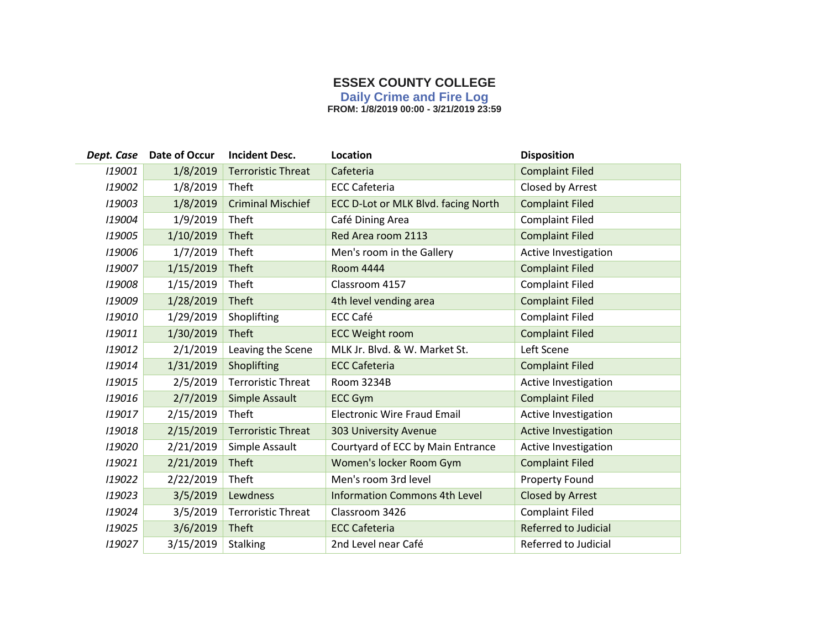## **ESSEX COUNTY COLLEGE**

**Daily Crime and Fire Log**

**FROM: 1/8/2019 00:00 - 3/21/2019 23:59**

|        | Dept. Case Date of Occur | <b>Incident Desc.</b>     | Location                             | <b>Disposition</b>          |
|--------|--------------------------|---------------------------|--------------------------------------|-----------------------------|
| 119001 | 1/8/2019                 | <b>Terroristic Threat</b> | Cafeteria                            | <b>Complaint Filed</b>      |
| 119002 | 1/8/2019                 | <b>Theft</b>              | <b>ECC Cafeteria</b>                 | Closed by Arrest            |
| 119003 | 1/8/2019                 | <b>Criminal Mischief</b>  | ECC D-Lot or MLK Blvd. facing North  | <b>Complaint Filed</b>      |
| 119004 | 1/9/2019                 | Theft                     | Café Dining Area                     | <b>Complaint Filed</b>      |
| 119005 | 1/10/2019                | Theft                     | Red Area room 2113                   | <b>Complaint Filed</b>      |
| 119006 | 1/7/2019                 | Theft                     | Men's room in the Gallery            | Active Investigation        |
| 119007 | 1/15/2019                | Theft                     | <b>Room 4444</b>                     | <b>Complaint Filed</b>      |
| 119008 | 1/15/2019                | Theft                     | Classroom 4157                       | <b>Complaint Filed</b>      |
| 119009 | 1/28/2019                | Theft                     | 4th level vending area               | <b>Complaint Filed</b>      |
| 119010 | 1/29/2019                | Shoplifting               | <b>ECC Café</b>                      | <b>Complaint Filed</b>      |
| 119011 | 1/30/2019                | <b>Theft</b>              | <b>ECC Weight room</b>               | <b>Complaint Filed</b>      |
| 119012 | 2/1/2019                 | Leaving the Scene         | MLK Jr. Blvd. & W. Market St.        | Left Scene                  |
| 119014 | 1/31/2019                | Shoplifting               | <b>ECC Cafeteria</b>                 | <b>Complaint Filed</b>      |
| 119015 | 2/5/2019                 | <b>Terroristic Threat</b> | Room 3234B                           | Active Investigation        |
| 119016 | 2/7/2019                 | Simple Assault            | <b>ECC Gym</b>                       | <b>Complaint Filed</b>      |
| 119017 | 2/15/2019                | Theft                     | <b>Electronic Wire Fraud Email</b>   | Active Investigation        |
| 119018 | 2/15/2019                | <b>Terroristic Threat</b> | <b>303 University Avenue</b>         | <b>Active Investigation</b> |
| 119020 | 2/21/2019                | Simple Assault            | Courtyard of ECC by Main Entrance    | Active Investigation        |
| 119021 | 2/21/2019                | Theft                     | Women's locker Room Gym              | <b>Complaint Filed</b>      |
| 119022 | 2/22/2019                | Theft                     | Men's room 3rd level                 | Property Found              |
| 119023 | 3/5/2019                 | Lewdness                  | <b>Information Commons 4th Level</b> | Closed by Arrest            |
| 119024 | 3/5/2019                 | <b>Terroristic Threat</b> | Classroom 3426                       | <b>Complaint Filed</b>      |
| 119025 | 3/6/2019                 | <b>Theft</b>              | <b>ECC Cafeteria</b>                 | <b>Referred to Judicial</b> |
| 119027 | 3/15/2019                | <b>Stalking</b>           | 2nd Level near Café                  | Referred to Judicial        |